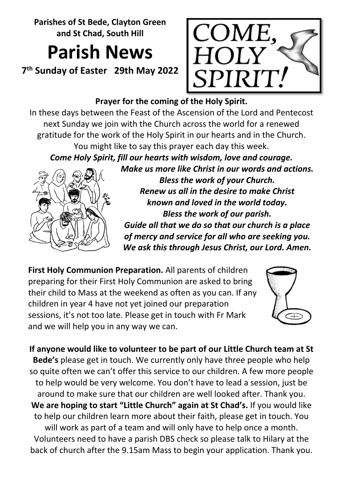**Parishes of St Bede, Clayton Green and St Chad, South Hill**

# **Parish News**

**7th Sunday of Easter 29th May 2022** 



## **Prayer for the coming of the Holy Spirit.**

In these days between the Feast of the Ascension of the Lord and Pentecost next Sunday we join with the Church across the world for a renewed gratitude for the work of the Holy Spirit in our hearts and in the Church. You might like to say this prayer each day this week. *Come Holy Spirit, fill our hearts with wisdom, love and courage.* 

*Make us more like Christ in our words and actions.*



*Bless the work of your Church. Renew us all in the desire to make Christ known and loved in the world today. Bless the work of our parish. Guide all that we do so that our church is a place of mercy and service for all who are seeking you. We ask this through Jesus Christ, our Lord. Amen.*

**First Holy Communion Preparation.** All parents of children preparing for their First Holy Communion are asked to bring their child to Mass at the weekend as often as you can. If any children in year 4 have not yet joined our preparation sessions, it's not too late. Please get in touch with Fr Mark and we will help you in any way we can.



**If anyone would like to volunteer to be part of our Little Church team at St Bede's** please get in touch. We currently only have three people who help so quite often we can't offer this service to our children. A few more people to help would be very welcome. You don't have to lead a session, just be around to make sure that our children are well looked after. Thank you. **We are hoping to start "Little Church" again at St Chad's.** If you would like to help our children learn more about their faith, please get in touch. You will work as part of a team and will only have to help once a month. Volunteers need to have a parish DBS check so please talk to Hilary at the back of church after the 9.15am Mass to begin your application. Thank you.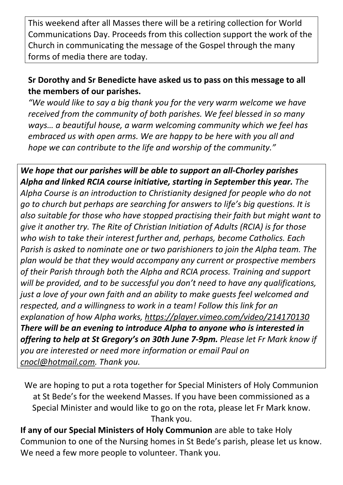This weekend after all Masses there will be a retiring collection for World Communications Day. Proceeds from this collection support the work of the Church in communicating the message of the Gospel through the many forms of media there are today.

### **Sr Dorothy and Sr Benedicte have asked us to pass on this message to all the members of our parishes.**

*"We would like to say a big thank you for the very warm welcome we have received from the community of both parishes. We feel blessed in so many ways… a beautiful house, a warm welcoming community which we feel has embraced us with open arms. We are happy to be here with you all and hope we can contribute to the life and worship of the community."*

*We hope that our parishes will be able to support an all-Chorley parishes Alpha and linked RCIA course initiative, starting in September this year. The Alpha Course is an introduction to Christianity designed for people who do not go to church but perhaps are searching for answers to life's big questions. It is also suitable for those who have stopped practising their faith but might want to give it another try. The Rite of Christian Initiation of Adults (RCIA) is for those who wish to take their interest further and, perhaps, become Catholics. Each Parish is asked to nominate one or two parishioners to join the Alpha team. The plan would be that they would accompany any current or prospective members of their Parish through both the Alpha and RCIA process. Training and support will be provided, and to be successful you don't need to have any qualifications, just a love of your own faith and an ability to make guests feel welcomed and respected, and a willingness to work in a team! Follow this link for an explanation of how Alpha works,<https://player.vimeo.com/video/214170130> There will be an evening to introduce Alpha to anyone who is interested in offering to help at St Gregory's on 30th June 7-9pm. Please let Fr Mark know if you are interested or need more information or email Paul on [cnocl@hotmail.com.](mailto:cnocl@hotmail.com) Thank you.* 

We are hoping to put a rota together for Special Ministers of Holy Communion at St Bede's for the weekend Masses. If you have been commissioned as a Special Minister and would like to go on the rota, please let Fr Mark know. Thank you.

**If any of our Special Ministers of Holy Communion** are able to take Holy Communion to one of the Nursing homes in St Bede's parish, please let us know. We need a few more people to volunteer. Thank you.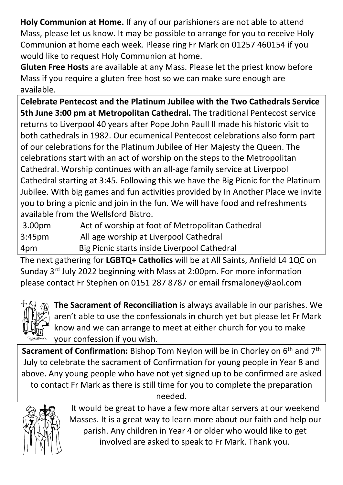**Holy Communion at Home.** If any of our parishioners are not able to attend Mass, please let us know. It may be possible to arrange for you to receive Holy Communion at home each week. Please ring Fr Mark on 01257 460154 if you would like to request Holy Communion at home.

**Gluten Free Hosts** are available at any Mass. Please let the priest know before Mass if you require a gluten free host so we can make sure enough are available.

**Celebrate Pentecost and the Platinum Jubilee with the Two Cathedrals Service 5th June 3:00 pm at Metropolitan Cathedral.** The traditional Pentecost service returns to Liverpool 40 years after Pope John Paull II made his historic visit to both cathedrals in 1982. Our ecumenical Pentecost celebrations also form part of our celebrations for the Platinum Jubilee of Her Majesty the Queen. The celebrations start with an act of worship on the steps to the Metropolitan Cathedral. Worship continues with an all-age family service at Liverpool Cathedral starting at 3:45. Following this we have the Big Picnic for the Platinum Jubilee. With big games and fun activities provided by In Another Place we invite you to bring a picnic and join in the fun. We will have food and refreshments available from the Wellsford Bistro.

3.00pm Act of worship at foot of Metropolitan Cathedral 3:45pm All age worship at Liverpool Cathedral 4pm Big Picnic starts inside Liverpool Cathedral

The next gathering for **LGBTQ+ Catholics** will be at All Saints, Anfield L4 1QC on Sunday 3rd July 2022 beginning with Mass at 2:00pm. For more information please contact Fr Stephen on 0151 287 8787 or email [frsmaloney@aol.com](mailto:frsmaloney@aol.com)



**The Sacrament of Reconciliation** is always available in our parishes. We aren't able to use the confessionals in church yet but please let Fr Mark know and we can arrange to meet at either church for you to make your confession if you wish.

**Sacrament of Confirmation:** Bishop Tom Neylon will be in Chorley on 6<sup>th</sup> and 7<sup>th</sup> July to celebrate the sacrament of Confirmation for young people in Year 8 and above. Any young people who have not yet signed up to be confirmed are asked to contact Fr Mark as there is still time for you to complete the preparation needed.



It would be great to have a few more altar servers at our weekend Masses. It is a great way to learn more about our faith and help our parish. Any children in Year 4 or older who would like to get involved are asked to speak to Fr Mark. Thank you.